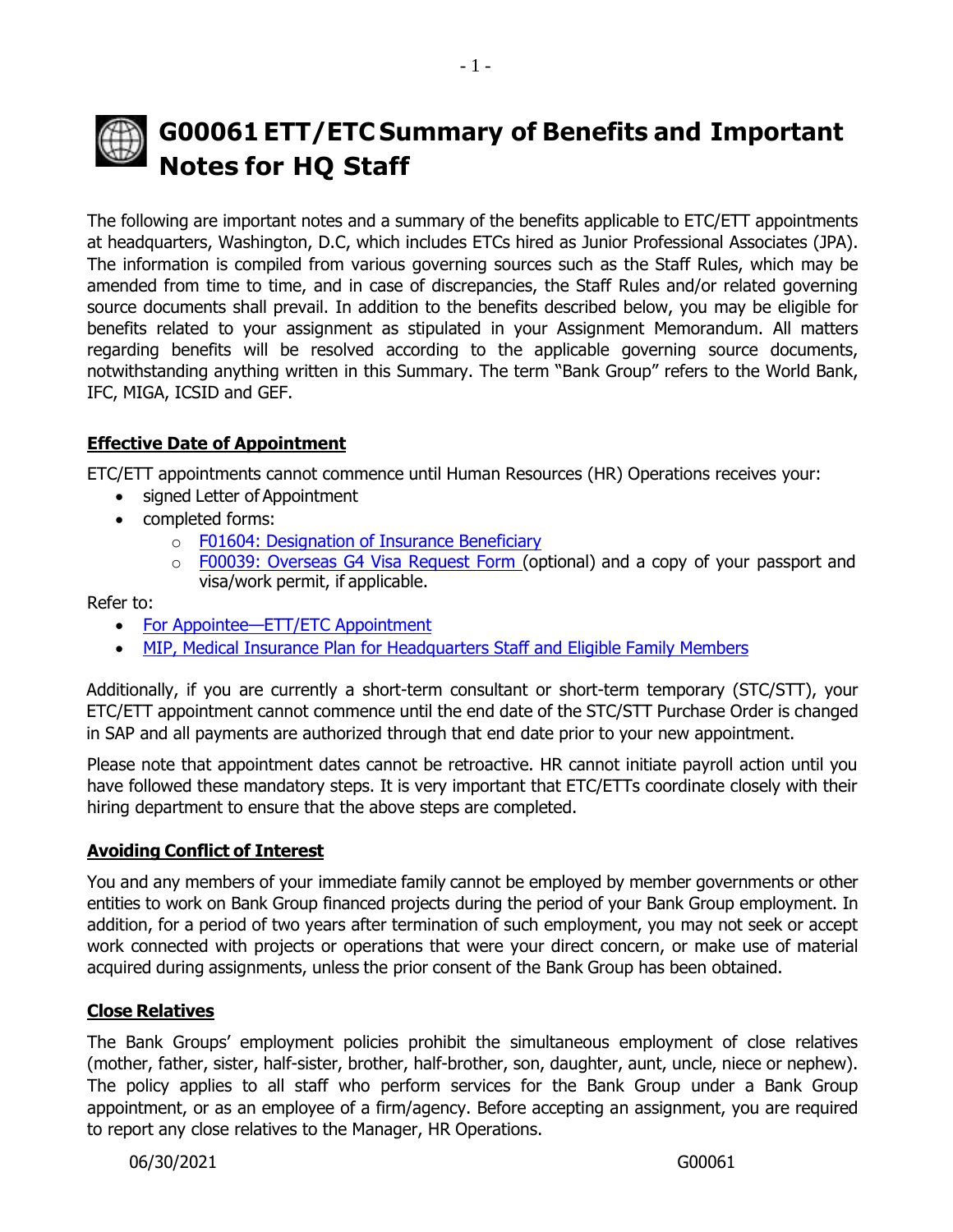# **G00061 ETT/ETC Summary of Benefits and Important Notes for HQ Staff**

The following are important notes and a summary of the benefits applicable to ETC/ETT appointments at headquarters, Washington, D.C, which includes ETCs hired as Junior Professional Associates (JPA). The information is compiled from various governing sources such as the Staff Rules, which may be amended from time to time, and in case of discrepancies, the Staff Rules and/or related governing source documents shall prevail. In addition to the benefits described below, you may be eligible for benefits related to your assignment as stipulated in your Assignment Memorandum. All matters regarding benefits will be resolved according to the applicable governing source documents, notwithstanding anything written in this Summary. The term "Bank Group" refers to the World Bank, IFC, MIGA, ICSID and GEF.

# **Effective Date of Appointment**

ETC/ETT appointments cannot commence until Human Resources (HR) Operations receives your:

- signed Letter of Appointment
- completed forms:
	- o F01604: [Designation](http://pubdocs.worldbank.org/en/212531553406742444/designate-or-update-insurance-beneficiary.pdf) of Insurance Beneficiary
	- o F00039: [Overseas](http://pubdocs.worldbank.org/en/294281374626401101/F00039-Overseas-Visa-Request-RNGO.pdf) G4 Visa Request Form (optional) and a copy of your passport and visa/work permit, if applicable.

Refer to:

- For Appointee—ETT/ETC [Appointment](http://www.worldbank.org/en/about/unit/human-resources/for-appointee-checklist-for-new-etc-etts-in-headquarters)
- MIP, Medical Insurance Plan for [Headquarters](http://www.worldbank.org/en/about/unit/human-resources/medical-insurance-plan-mip-for-hq-staff-and-eligible-family-members) Staff and Eligible Family Members

Additionally, if you are currently a short-term consultant or short-term temporary (STC/STT), your ETC/ETT appointment cannot commence until the end date of the STC/STT Purchase Order is changed in SAP and all payments are authorized through that end date prior to your new appointment.

Please note that appointment dates cannot be retroactive. HR cannot initiate payroll action until you have followed these mandatory steps. It is very important that ETC/ETTs coordinate closely with their hiring department to ensure that the above steps are completed.

# **Avoiding Conflict of Interest**

You and any members of your immediate family cannot be employed by member governments or other entities to work on Bank Group financed projects during the period of your Bank Group employment. In addition, for a period of two years after termination of such employment, you may not seek or accept work connected with projects or operations that were your direct concern, or make use of material acquired during assignments, unless the prior consent of the Bank Group has been obtained.

#### **Close Relatives**

The Bank Groups' employment policies prohibit the simultaneous employment of close relatives (mother, father, sister, half-sister, brother, half-brother, son, daughter, aunt, uncle, niece or nephew). The policy applies to all staff who perform services for the Bank Group under a Bank Group appointment, or as an employee of a firm/agency. Before accepting an assignment, you are required to report any close relatives to the Manager, HR Operations.

06/30/2021 G00061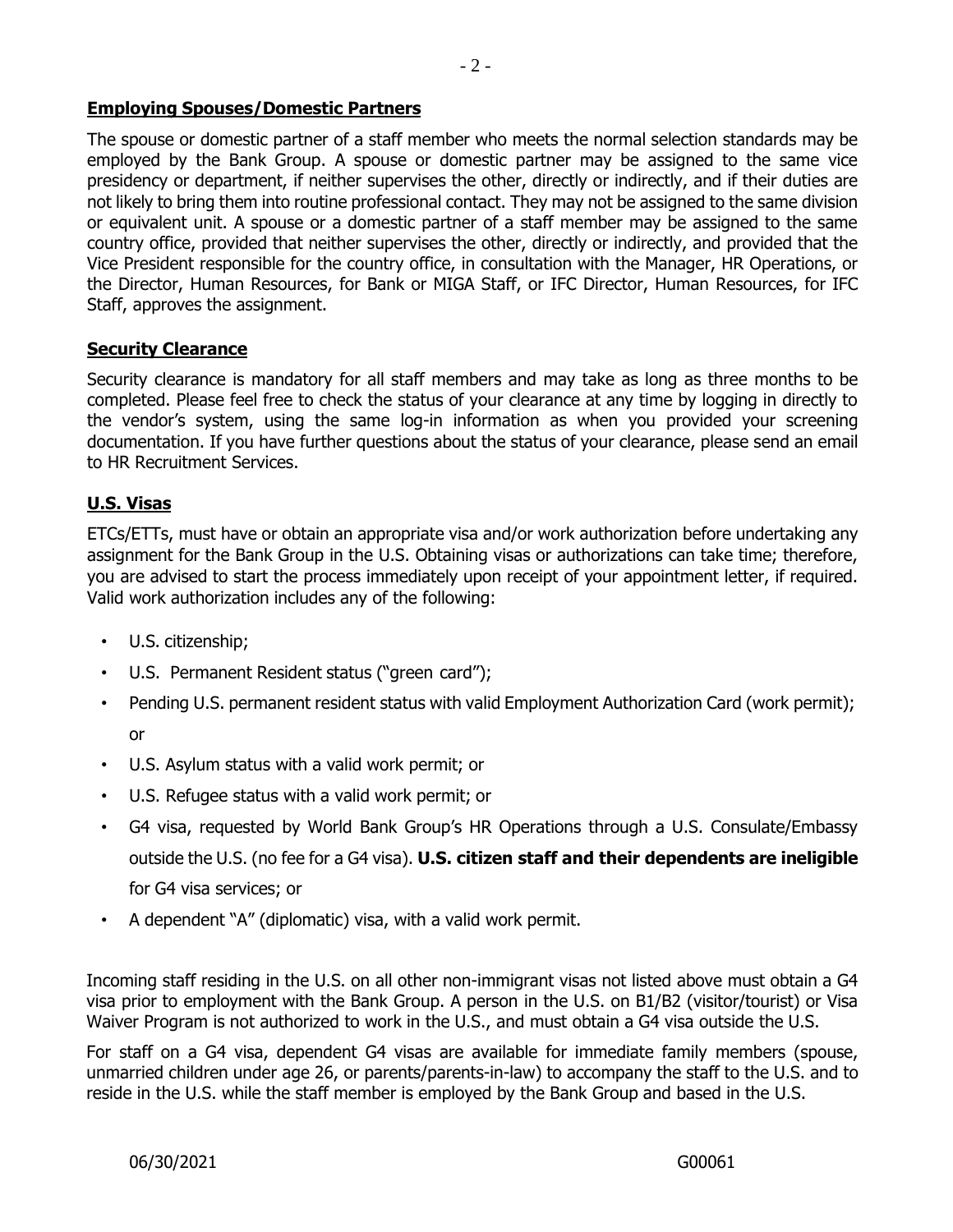#### **Employing Spouses/Domestic Partners**

The spouse or domestic partner of a staff member who meets the normal selection standards may be employed by the Bank Group. A spouse or domestic partner may be assigned to the same vice presidency or department, if neither supervises the other, directly or indirectly, and if their duties are not likely to bring them into routine professional contact. They may not be assigned to the same division or equivalent unit. A spouse or a domestic partner of a staff member may be assigned to the same country office, provided that neither supervises the other, directly or indirectly, and provided that the Vice President responsible for the country office, in consultation with the Manager, HR Operations, or the Director, Human Resources, for Bank or MIGA Staff, or IFC Director, Human Resources, for IFC Staff, approves the assignment.

#### **Security Clearance**

Security clearance is mandatory for all staff members and may take as long as three months to be completed. Please feel free to check the status of your clearance at any time by logging in directly to the vendor's system, using the same log-in information as when you provided your screening documentation. If you have further questions about the status of your clearance, please send an email to HR Recruitment Services.

#### **U.S. Visas**

ETCs/ETTs, must have or obtain an appropriate visa and/or work authorization before undertaking any assignment for the Bank Group in the U.S. Obtaining visas or authorizations can take time; therefore, you are advised to start the process immediately upon receipt of your appointment letter, if required. Valid work authorization includes any of the following:

- U.S. citizenship;
- U.S. Permanent Resident status ("green card");
- Pending U.S. permanent resident status with valid Employment Authorization Card (work permit); or
- U.S. Asylum status with a valid work permit; or
- U.S. Refugee status with a valid work permit; or
- G4 visa, requested by World Bank Group's HR Operations through a U.S. Consulate/Embassy outside the U.S. (no fee for a G4 visa). **U.S. citizen staff and their dependents are ineligible** for G4 visa services; or
- A dependent "A" (diplomatic) visa, with a valid work permit.

Incoming staff residing in the U.S. on all other non-immigrant visas not listed above must obtain a G4 visa prior to employment with the Bank Group. A person in the U.S. on B1/B2 (visitor/tourist) or Visa Waiver Program is not authorized to work in the U.S., and must obtain a G4 visa outside the U.S.

For staff on a G4 visa, dependent G4 visas are available for immediate family members (spouse, unmarried children under age 26, or parents/parents-in-law) to accompany the staff to the U.S. and to reside in the U.S. while the staff member is employed by the Bank Group and based in the U.S.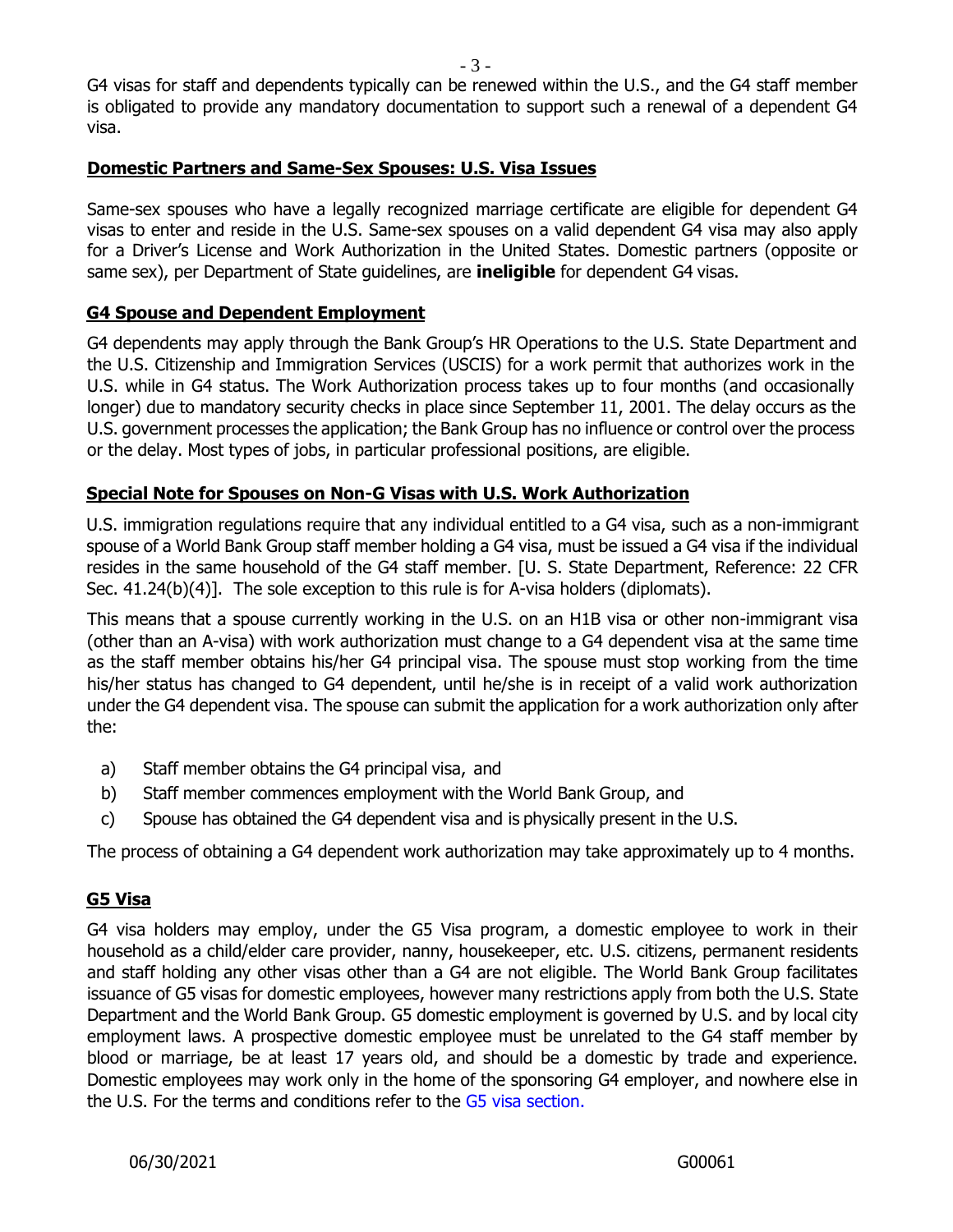G4 visas for staff and dependents typically can be renewed within the U.S., and the G4 staff member is obligated to provide any mandatory documentation to support such a renewal of a dependent G4 visa.

#### **Domestic Partners and Same-Sex Spouses: U.S. Visa Issues**

Same-sex spouses who have a legally recognized marriage certificate are eligible for dependent G4 visas to enter and reside in the U.S. Same-sex spouses on a valid dependent G4 visa may also apply for a Driver's License and Work Authorization in the United States. Domestic partners (opposite or same sex), per Department of State guidelines, are **ineligible** for dependent G4 visas.

# **G4 Spouse and Dependent Employment**

G4 dependents may apply through the Bank Group's HR Operations to the U.S. State Department and the U.S. Citizenship and Immigration Services (USCIS) for a work permit that authorizes work in the U.S. while in G4 status. The Work Authorization process takes up to four months (and occasionally longer) due to mandatory security checks in place since September 11, 2001. The delay occurs as the U.S. government processes the application; the Bank Group has no influence or control over the process or the delay. Most types of jobs, in particular professional positions, are eligible.

#### **Special Note for Spouses on Non-G Visas with U.S. Work Authorization**

U.S. immigration regulations require that any individual entitled to a G4 visa, such as a non-immigrant spouse of a World Bank Group staff member holding a G4 visa, must be issued a G4 visa if the individual resides in the same household of the G4 staff member. [U. S. State Department, Reference: 22 CFR Sec. 41.24(b)(4)]. The sole exception to this rule is for A-visa holders (diplomats).

This means that a spouse currently working in the U.S. on an H1B visa or other non-immigrant visa (other than an A-visa) with work authorization must change to a G4 dependent visa at the same time as the staff member obtains his/her G4 principal visa. The spouse must stop working from the time his/her status has changed to G4 dependent, until he/she is in receipt of a valid work authorization under the G4 dependent visa. The spouse can submit the application for a work authorization only after the:

- a) Staff member obtains the G4 principal visa, and
- b) Staff member commences employment with the World Bank Group, and
- c) Spouse has obtained the G4 dependent visa and is physically present in the U.S.

The process of obtaining a G4 dependent work authorization may take approximately up to 4 months.

# **G5 Visa**

G4 visa holders may employ, under the G5 Visa program, a domestic employee to work in their household as a child/elder care provider, nanny, housekeeper, etc. U.S. citizens, permanent residents and staff holding any other visas other than a G4 are not eligible. The World Bank Group facilitates issuance of G5 visas for domestic employees, however many restrictions apply from both the U.S. State Department and the World Bank Group. G5 domestic employment is governed by U.S. and by local city employment laws. A prospective domestic employee must be unrelated to the G4 staff member by blood or marriage, be at least 17 years old, and should be a domestic by trade and experience. Domestic employees may work only in the home of the sponsoring G4 employer, and nowhere else in the U.S. For the terms and conditions refer to the [G5 visa section.](https://worldbankgroup.sharepoint.com/sites/hr/Documents/HR%20Checklists/Request_G5Visa_for_Prospective_Domestic_Outside_US.pdf)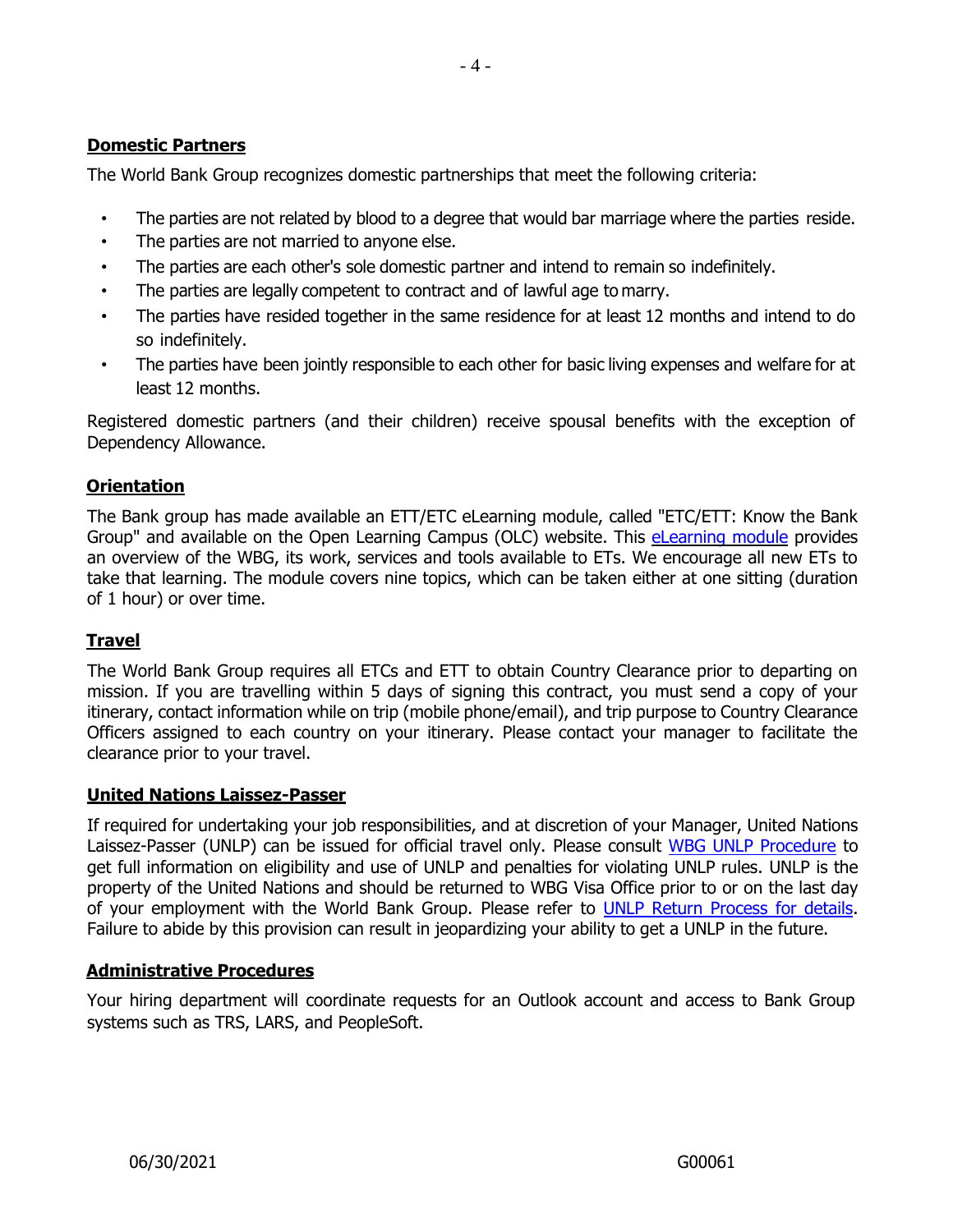# **Domestic Partners**

The World Bank Group recognizes domestic partnerships that meet the following criteria:

- The parties are not related by blood to a degree that would bar marriage where the parties reside.
- The parties are not married to anyone else.
- The parties are each other's sole domestic partner and intend to remain so indefinitely.
- The parties are legally competent to contract and of lawful age to marry.
- The parties have resided together in the same residence for at least 12 months and intend to do so indefinitely.
- The parties have been jointly responsible to each other for basic living expenses and welfare for at least 12 months.

Registered domestic partners (and their children) receive spousal benefits with the exception of Dependency Allowance.

# **Orientation**

The Bank group has made available an ETT/ETC eLearning module, called "ETC/ETT: Know the Bank Group" and available on the Open Learning Campus (OLC) website. This [eLearning module](https://wbg.sabacloud.com/Saba/Web_spf/NA1PRD0002/common/ledetail/00037194) provides an overview of the WBG, its work, services and tools available to ETs. We encourage all new ETs to take that learning. The module covers nine topics, which can be taken either at one sitting (duration of 1 hour) or over time.

# **Travel**

The World Bank Group requires all ETCs and ETT to obtain Country Clearance prior to departing on mission. If you are travelling within 5 days of signing this contract, you must send a copy of your itinerary, contact information while on trip (mobile phone/email), and trip purpose to Country Clearance Officers assigned to each country on your itinerary. Please contact your manager to facilitate the clearance prior to your travel.

# **United Nations Laissez-Passer**

If required for undertaking your job responsibilities, and at discretion of your Manager, United Nations Laissez-Passer (UNLP) can be issued for official travel only. Please consult [WBG UNLP Procedure](https://spappscsec.worldbank.org/sites/ppf3/PPFDocuments/Forms/DispPage.aspx?docid=003c365e-1e8c-480e-81f9-9dd43a8dc04d) to get full information on eligibility and use of UNLP and penalties for violating UNLP rules. UNLP is the property of the United Nations and should be returned to WBG Visa Office prior to or on the last day of your employment with the World Bank Group. Please refer to [UNLP Return Process for details.](https://worldbankgroup.service-now.com/wbg?id=wbg_sc_catalog&sys_id=cd8b5327db540c102e3ec3af29961909) Failure to abide by this provision can result in jeopardizing your ability to get a UNLP in the future.

# **Administrative Procedures**

Your hiring department will coordinate requests for an Outlook account and access to Bank Group systems such as TRS, LARS, and PeopleSoft.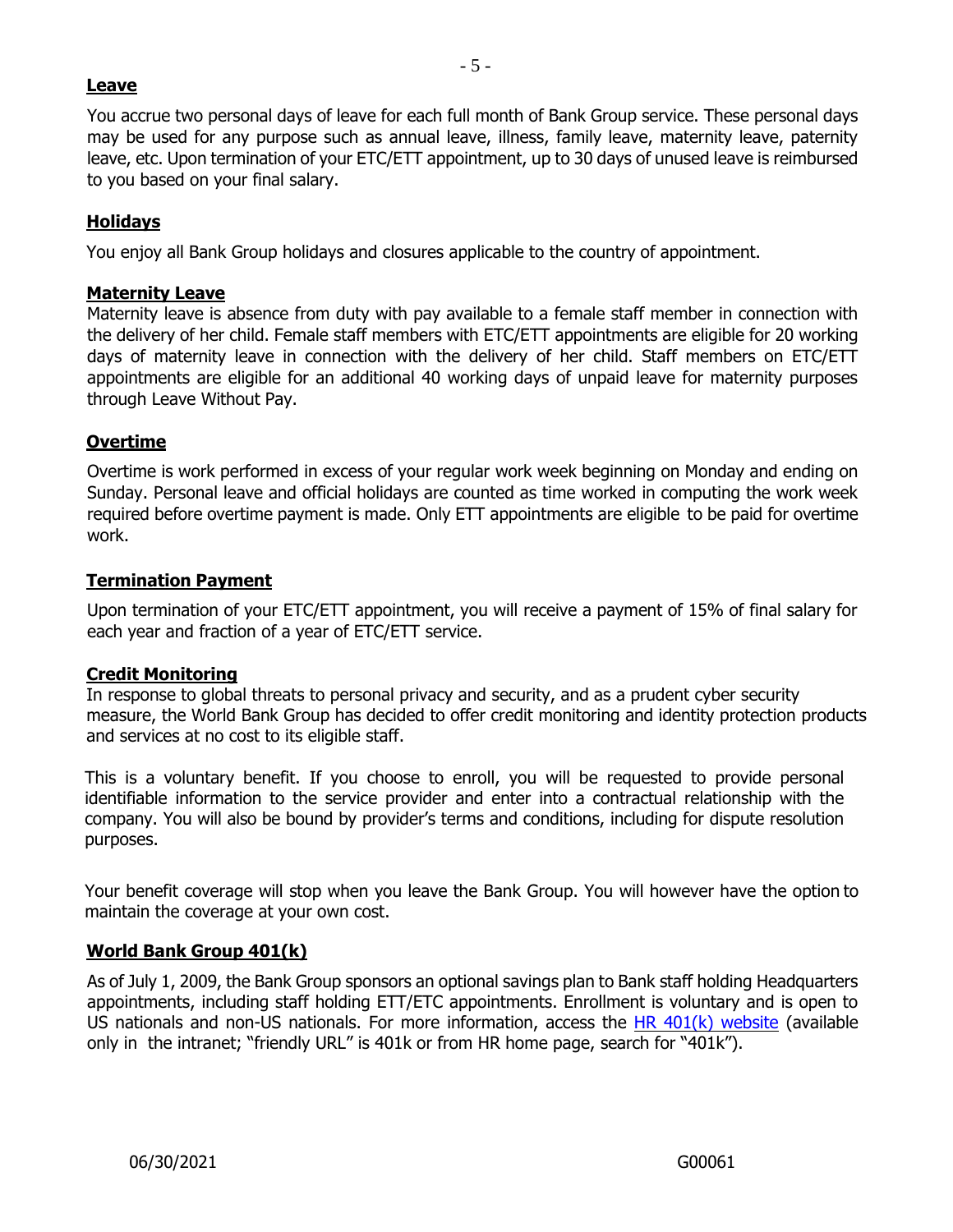# **Leave**

You accrue two personal days of leave for each full month of Bank Group service. These personal days may be used for any purpose such as annual leave, illness, family leave, maternity leave, paternity leave, etc. Upon termination of your ETC/ETT appointment, up to 30 days of unused leave is reimbursed to you based on your final salary.

# **Holidays**

You enjoy all Bank Group holidays and closures applicable to the country of appointment.

#### **Maternity Leave**

Maternity leave is absence from duty with pay available to a female staff member in connection with the delivery of her child. Female staff members with ETC/ETT appointments are eligible for 20 working days of maternity leave in connection with the delivery of her child. Staff members on ETC/ETT appointments are eligible for an additional 40 working days of unpaid leave for maternity purposes through Leave Without Pay.

# **Overtime**

Overtime is work performed in excess of your regular work week beginning on Monday and ending on Sunday. Personal leave and official holidays are counted as time worked in computing the work week required before overtime payment is made. Only ETT appointments are eligible to be paid for overtime work.

#### **Termination Payment**

Upon termination of your ETC/ETT appointment, you will receive a payment of 15% of final salary for each year and fraction of a year of ETC/ETT service.

#### **Credit Monitoring**

In response to global threats to personal privacy and security, and as a prudent cyber security measure, the World Bank Group has decided to offer credit monitoring and identity protection products and services at no cost to its eligible staff.

This is a voluntary benefit. If you choose to enroll, you will be requested to provide personal identifiable information to the service provider and enter into a contractual relationship with the company. You will also be bound by provider's terms and conditions, including for dispute resolution purposes.

Your benefit coverage will stop when you leave the Bank Group. You will however have the option to maintain the coverage at your own cost.

# **World Bank Group 401(k)**

As of July 1, 2009, the Bank Group sponsors an optional savings plan to Bank staff holding Headquarters appointments, including staff holding ETT/ETC appointments. Enrollment is voluntary and is open to US nationals and non-US nationals. For more information, access the HR  $401(k)$  website (available only in the intranet; "friendly URL" is 401k or from HR home page, search for "401k").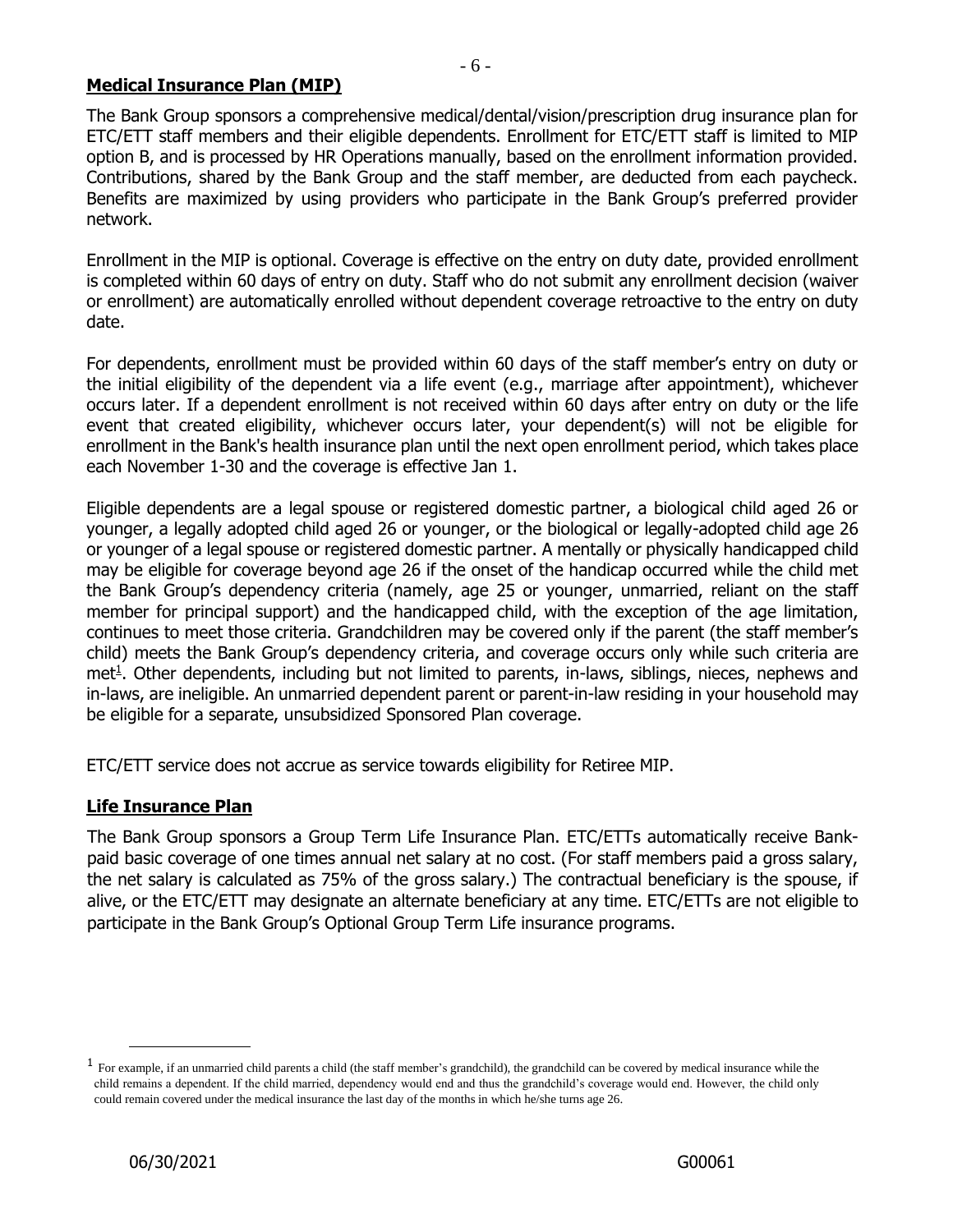#### **Medical Insurance Plan (MIP)**

The Bank Group sponsors a comprehensive medical/dental/vision/prescription drug insurance plan for ETC/ETT staff members and their eligible dependents. Enrollment for ETC/ETT staff is limited to MIP option B, and is processed by HR Operations manually, based on the enrollment information provided. Contributions, shared by the Bank Group and the staff member, are deducted from each paycheck. Benefits are maximized by using providers who participate in the Bank Group's preferred provider network.

Enrollment in the MIP is optional. Coverage is effective on the entry on duty date, provided enrollment is completed within 60 days of entry on duty. Staff who do not submit any enrollment decision (waiver or enrollment) are automatically enrolled without dependent coverage retroactive to the entry on duty date.

For dependents, enrollment must be provided within 60 days of the staff member's entry on duty or the initial eligibility of the dependent via a life event (e.g., marriage after appointment), whichever occurs later. If a dependent enrollment is not received within 60 days after entry on duty or the life event that created eligibility, whichever occurs later, your dependent(s) will not be eligible for enrollment in the Bank's health insurance plan until the next open enrollment period, which takes place each November 1-30 and the coverage is effective Jan 1.

Eligible dependents are a legal spouse or registered domestic partner, a biological child aged 26 or younger, a legally adopted child aged 26 or younger, or the biological or legally-adopted child age 26 or younger of a legal spouse or registered domestic partner. A mentally or physically handicapped child may be eligible for coverage beyond age 26 if the onset of the handicap occurred while the child met the Bank Group's dependency criteria (namely, age 25 or younger, unmarried, reliant on the staff member for principal support) and the handicapped child, with the exception of the age limitation, continues to meet those criteria. Grandchildren may be covered only if the parent (the staff member's child) meets the Bank Group's dependency criteria, and coverage occurs only while such criteria are met<sup>1</sup>. Other dependents, including but not limited to parents, in-laws, siblings, nieces, nephews and in-laws, are ineligible. An unmarried dependent parent or parent-in-law residing in your household may be eligible for a separate, unsubsidized Sponsored Plan coverage.

ETC/ETT service does not accrue as service towards eligibility for Retiree MIP.

#### **Life Insurance Plan**

The Bank Group sponsors a Group Term Life Insurance Plan. ETC/ETTs automatically receive Bankpaid basic coverage of one times annual net salary at no cost. (For staff members paid a gross salary, the net salary is calculated as 75% of the gross salary.) The contractual beneficiary is the spouse, if alive, or the ETC/ETT may designate an alternate beneficiary at any time. ETC/ETTs are not eligible to participate in the Bank Group's Optional Group Term Life insurance programs.

<sup>&</sup>lt;sup>1</sup> For example, if an unmarried child parents a child (the staff member's grandchild), the grandchild can be covered by medical insurance while the child remains a dependent. If the child married, dependency would end and thus the grandchild's coverage would end. However, the child only could remain covered under the medical insurance the last day of the months in which he/she turns age 26.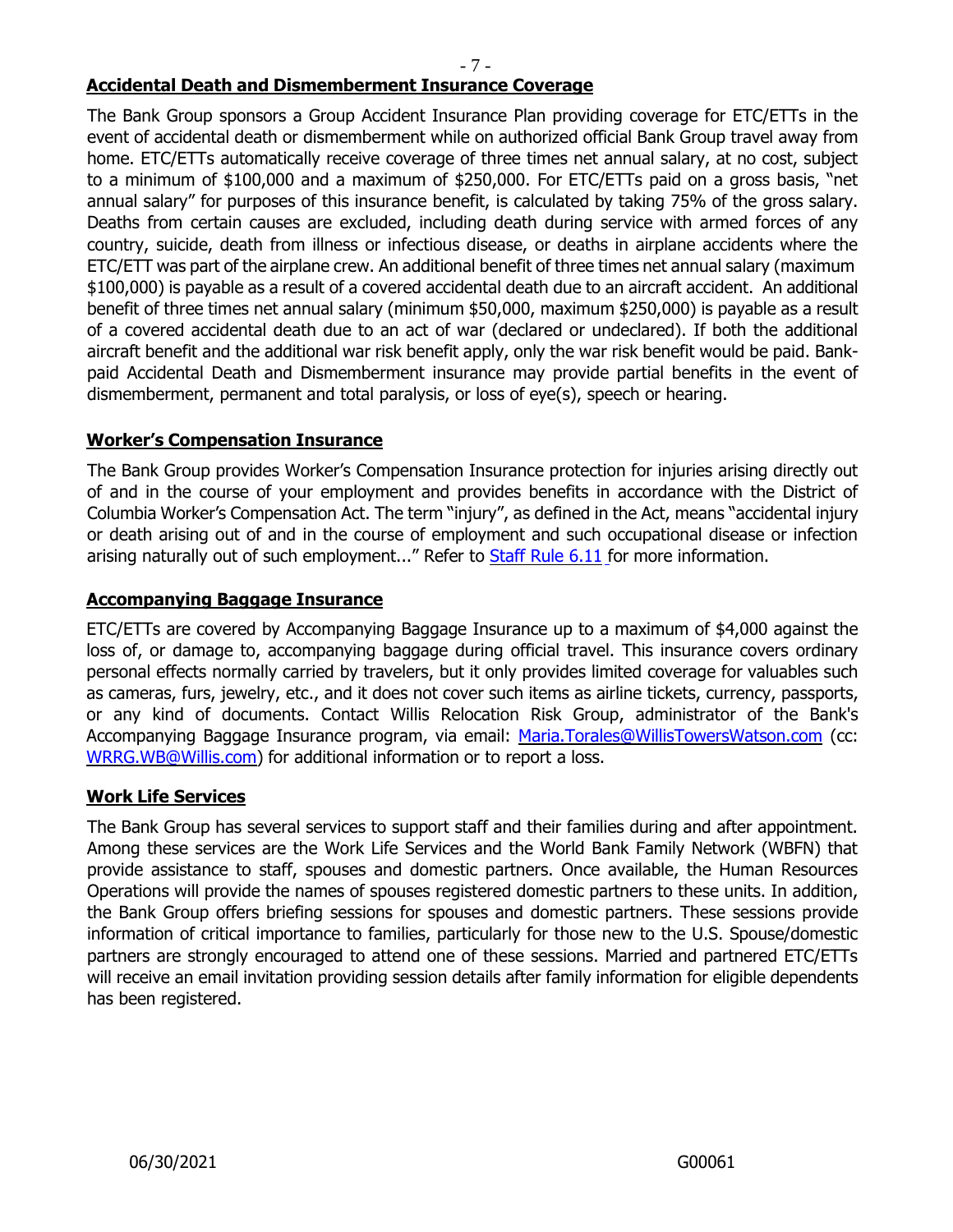- 7 -

# **Accidental Death and Dismemberment Insurance Coverage**

The Bank Group sponsors a Group Accident Insurance Plan providing coverage for ETC/ETTs in the event of accidental death or dismemberment while on authorized official Bank Group travel away from home. ETC/ETTs automatically receive coverage of three times net annual salary, at no cost, subject to a minimum of \$100,000 and a maximum of \$250,000. For ETC/ETTs paid on a gross basis, "net annual salary" for purposes of this insurance benefit, is calculated by taking 75% of the gross salary. Deaths from certain causes are excluded, including death during service with armed forces of any country, suicide, death from illness or infectious disease, or deaths in airplane accidents where the ETC/ETT was part of the airplane crew. An additional benefit of three times net annual salary (maximum \$100,000) is payable as a result of a covered accidental death due to an aircraft accident. An additional benefit of three times net annual salary (minimum \$50,000, maximum \$250,000) is payable as a result of a covered accidental death due to an act of war (declared or undeclared). If both the additional aircraft benefit and the additional war risk benefit apply, only the war risk benefit would be paid. Bankpaid Accidental Death and Dismemberment insurance may provide partial benefits in the event of dismemberment, permanent and total paralysis, or loss of eye(s), speech or hearing.

# **Worker's Compensation Insurance**

The Bank Group provides Worker's Compensation Insurance protection for injuries arising directly out of and in the course of your employment and provides benefits in accordance with the District of Columbia Worker's Compensation Act. The term "injury", as defined in the Act, means "accidental injury or death arising out of and in the course of employment and such occupational disease or infection arising naturally out of such employment..." Refer to **[Staff](https://policies.worldbank.org/sites/ppf3/Pages/Manuals/StaffManual.aspx) Rule 6.11** for more information.

#### **Accompanying Baggage Insurance**

ETC/ETTs are covered by Accompanying Baggage Insurance up to a maximum of \$4,000 against the loss of, or damage to, accompanying baggage during official travel. This insurance covers ordinary personal effects normally carried by travelers, but it only provides limited coverage for valuables such as cameras, furs, jewelry, etc., and it does not cover such items as airline tickets, currency, passports, or any kind of documents. Contact Willis Relocation Risk Group, administrator of the Bank's Accompanying Baggage Insurance program, via email: [Maria.Torales@WillisTowersWatson.com](mailto:Maria.Torales@WillisTowersWatson.com) (cc: [WRRG.WB@Willis.com\)](mailto:WRRG.WB@Willis.comf) for additional information or to report a loss.

#### **Work Life Services**

The Bank Group has several services to support staff and their families during and after appointment. Among these services are the Work Life Services and the World Bank Family Network (WBFN) that provide assistance to staff, spouses and domestic partners. Once available, the Human Resources Operations will provide the names of spouses registered domestic partners to these units. In addition, the Bank Group offers briefing sessions for spouses and domestic partners. These sessions provide information of critical importance to families, particularly for those new to the U.S. Spouse/domestic partners are strongly encouraged to attend one of these sessions. Married and partnered ETC/ETTs will receive an email invitation providing session details after family information for eligible dependents has been registered.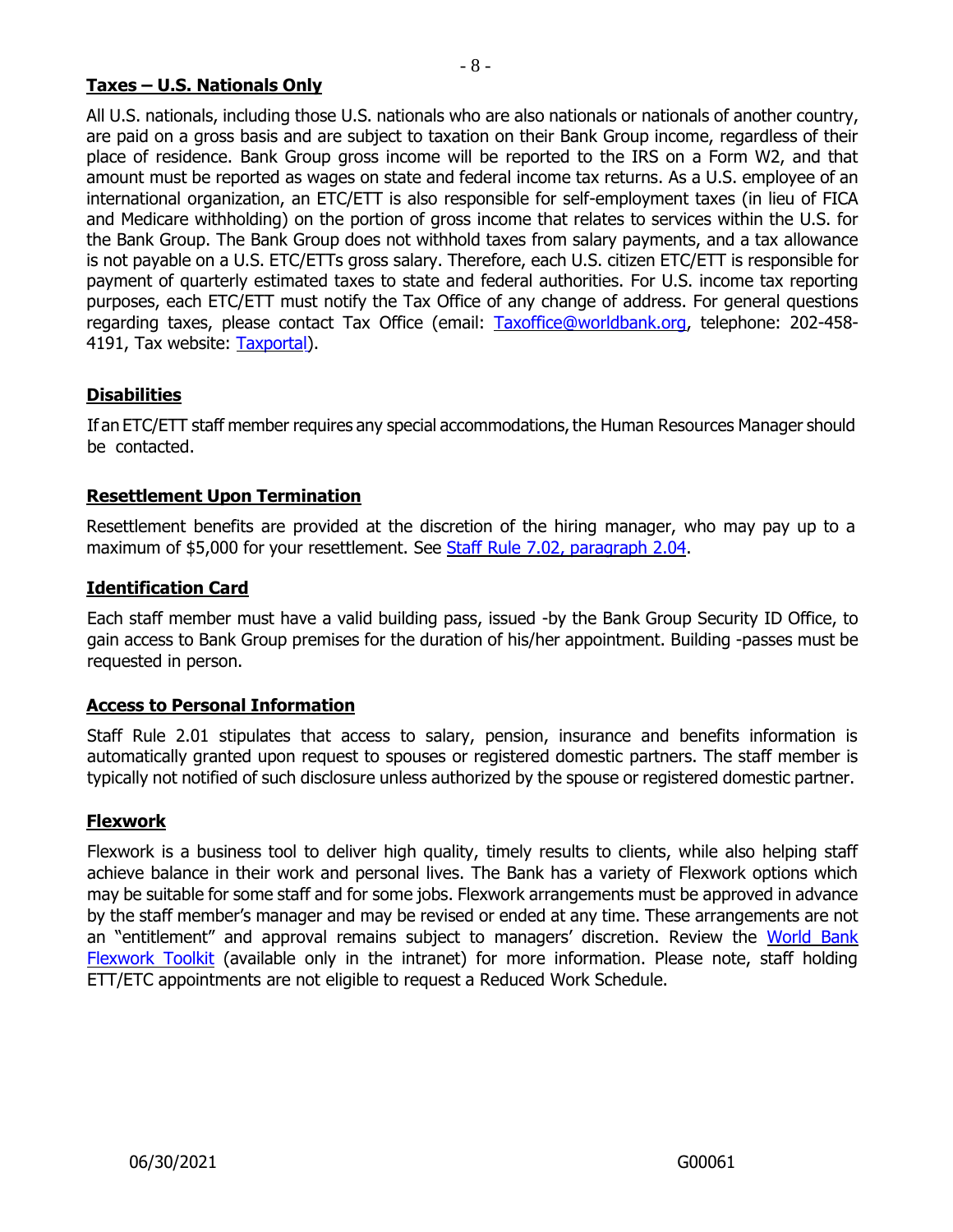# **Taxes – U.S. Nationals Only**

All U.S. nationals, including those U.S. nationals who are also nationals or nationals of another country, are paid on a gross basis and are subject to taxation on their Bank Group income, regardless of their place of residence. Bank Group gross income will be reported to the IRS on a Form W2, and that amount must be reported as wages on state and federal income tax returns. As a U.S. employee of an international organization, an ETC/ETT is also responsible for self-employment taxes (in lieu of FICA and Medicare withholding) on the portion of gross income that relates to services within the U.S. for the Bank Group. The Bank Group does not withhold taxes from salary payments, and a tax allowance is not payable on a U.S. ETC/ETTs gross salary. Therefore, each U.S. citizen ETC/ETT is responsible for payment of quarterly estimated taxes to state and federal authorities. For U.S. income tax reporting purposes, each ETC/ETT must notify the Tax Office of any change of address. For general questions regarding taxes, please contact Tax Office (email: [Taxoffice@worldbank.org,](mailto:Taxoffice@worldbank.org) telephone: 202-458- 4191, Tax website: [Taxportal\)](https://spappscsec.worldbank.org/sites/Accounting/tax/Pages/default.aspx).

# **Disabilities**

If an ETC/ETT staff member requires any special accommodations, the Human Resources Manager should be contacted.

#### **Resettlement Upon Termination**

Resettlement benefits are provided at the discretion of the hiring manager, who may pay up to a maximum of \$5,000 for your resettlement. See Staff Rule 7.02, [paragraph](https://policies.worldbank.org/sites/ppf3/PPFDocuments/Forms/DispPage.aspx?docid=3833&ver=current) 2.0[4.](http://siteresources.worldbank.org/INTSTAFFMANUAL/Resources/StaffManual_WB_web.pdf)

#### **Identification Card**

Each staff member must have a valid building pass, issued -by the Bank Group Security ID Office, to gain access to Bank Group premises for the duration of his/her appointment. Building -passes must be requested in person.

#### **Access to Personal Information**

Staff Rule 2.01 stipulates that access to salary, pension, insurance and benefits information is automatically granted upon request to spouses or registered domestic partners. The staff member is typically not notified of such disclosure unless authorized by the spouse or registered domestic partner.

# **Flexwork**

Flexwork is a business tool to deliver high quality, timely results to clients, while also helping staff achieve balance in their work and personal lives. The Bank has a variety of Flexwork options which may be suitable for some staff and for some jobs. Flexwork arrangements must be approved in advance by the staff member's manager and may be revised or ended at any time. These arrangements are not an "entitlement" and approval remains subject to managers' discretion. Review the [World Bank](https://worldbankgroup.sharepoint.com/sites/hr/Documents/HR%20Communications/HR%20Brochures/FlexWork_Toolkit_Brochure.pdf) [Flexwork Toolkit](https://worldbankgroup.sharepoint.com/sites/hr/Documents/HR%20Communications/HR%20Brochures/FlexWork_Toolkit_Brochure.pdf) (available only in the intranet) for more information. Please note, staff holding ETT/ETC appointments are not eligible to request a Reduced Work Schedule.